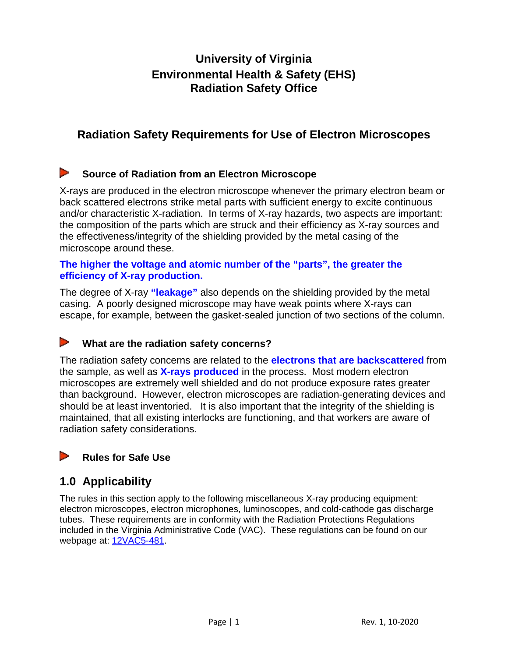# **University of Virginia Environmental Health & Safety (EHS) Radiation Safety Office**

# **Radiation Safety Requirements for Use of Electron Microscopes**

#### D **Source of Radiation from an Electron Microscope**

X-rays are produced in the electron microscope whenever the primary electron beam or back scattered electrons strike metal parts with sufficient energy to excite continuous and/or characteristic X-radiation. In terms of X-ray hazards, two aspects are important: the composition of the parts which are struck and their efficiency as X-ray sources and the effectiveness/integrity of the shielding provided by the metal casing of the microscope around these.

#### **The higher the voltage and atomic number of the "parts", the greater the efficiency of X-ray production.**

The degree of X-ray **"leakage"** also depends on the shielding provided by the metal casing. A poorly designed microscope may have weak points where X-rays can escape, for example, between the gasket-sealed junction of two sections of the column.

#### D **What are the radiation safety concerns?**

The radiation safety concerns are related to the **electrons that are backscattered** from the sample, as well as **X-rays produced** in the process. Most modern electron microscopes are extremely well shielded and do not produce exposure rates greater than background. However, electron microscopes are radiation-generating devices and should be at least inventoried. It is also important that the integrity of the shielding is maintained, that all existing interlocks are functioning, and that workers are aware of radiation safety considerations.

#### **Rules for Safe Use**

### **1.0 Applicability**

The rules in this section apply to the following miscellaneous X-ray producing equipment: electron microscopes, electron microphones, luminoscopes, and cold-cathode gas discharge tubes. These requirements are in conformity with the Radiation Protections Regulations included in the Virginia Administrative Code (VAC). These regulations can be found on our webpage at: [12VAC5-481.](http://ehs.virginia.edu/Radiation-Safety-VAC.html)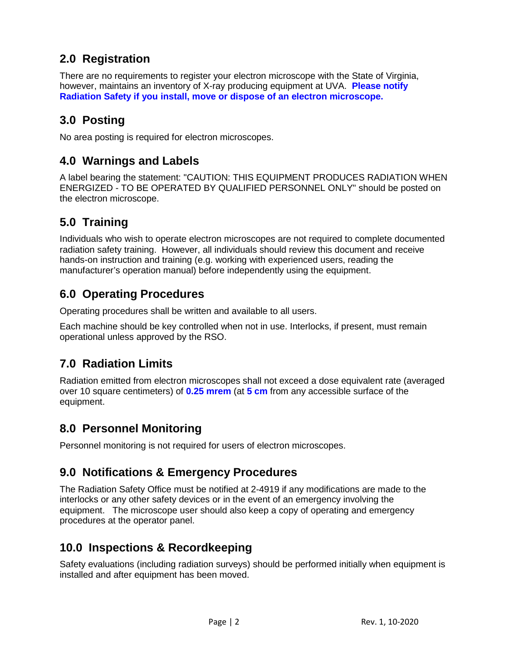# **2.0 Registration**

There are no requirements to register your electron microscope with the State of Virginia, however, maintains an inventory of X-ray producing equipment at UVA. **Please notify Radiation Safety if you install, move or dispose of an electron microscope.**

# **3.0 Posting**

No area posting is required for electron microscopes.

# **4.0 Warnings and Labels**

A label bearing the statement: "CAUTION: THIS EQUIPMENT PRODUCES RADIATION WHEN ENERGIZED - TO BE OPERATED BY QUALIFIED PERSONNEL ONLY" should be posted on the electron microscope.

# **5.0 Training**

Individuals who wish to operate electron microscopes are not required to complete documented radiation safety training. However, all individuals should review this document and receive hands-on instruction and training (e.g. working with experienced users, reading the manufacturer's operation manual) before independently using the equipment.

## **6.0 Operating Procedures**

Operating procedures shall be written and available to all users.

Each machine should be key controlled when not in use. Interlocks, if present, must remain operational unless approved by the RSO.

# **7.0 Radiation Limits**

Radiation emitted from electron microscopes shall not exceed a dose equivalent rate (averaged over 10 square centimeters) of **0.25 mrem** (at **5 cm** from any accessible surface of the equipment.

### **8.0 Personnel Monitoring**

Personnel monitoring is not required for users of electron microscopes.

### **9.0 Notifications & Emergency Procedures**

The Radiation Safety Office must be notified at 2-4919 if any modifications are made to the interlocks or any other safety devices or in the event of an emergency involving the equipment. The microscope user should also keep a copy of operating and emergency procedures at the operator panel.

#### **10.0 Inspections & Recordkeeping**

Safety evaluations (including radiation surveys) should be performed initially when equipment is installed and after equipment has been moved.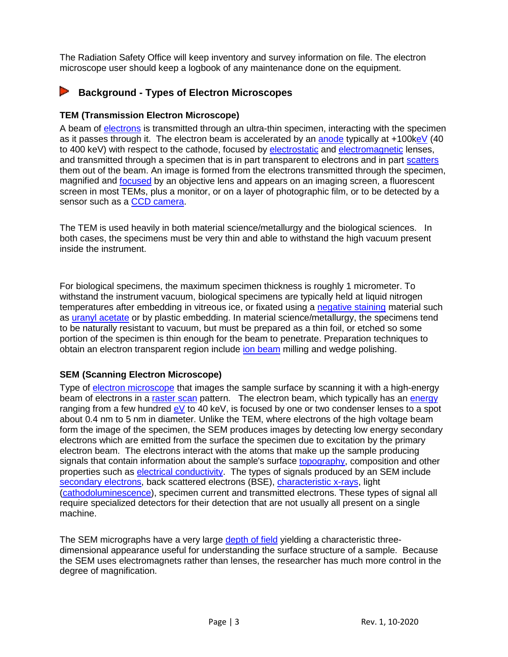The Radiation Safety Office will keep inventory and survey information on file. The electron microscope user should keep a logbook of any maintenance done on the equipment.

#### **Background - Types of Electron Microscopes**

#### **TEM (Transmission Electron Microscope)**

A beam of [electrons](http://en.wikipedia.org/wiki/Electron) is transmitted through an ultra-thin specimen, interacting with the specimen as it passes through it. The electron beam is accelerated by an [anode](http://en.wikipedia.org/wiki/Anode) typically at +100 [keV](http://en.wikipedia.org/wiki/EV) (40 to 400 keV) with respect to the cathode, focused by [electrostatic](http://en.wikipedia.org/wiki/Electrostatic) and [electromagnetic](http://en.wikipedia.org/wiki/Electromagnetic) lenses, and transmitted through a specimen that is in part transparent to electrons and in part [scatters](http://en.wikipedia.org/wiki/Electron_scattering) them out of the beam. An image is formed from the electrons transmitted through the specimen, magnified and [focused](http://en.wikipedia.org/wiki/Focus_%28optics%29) by an objective lens and appears on an imaging screen, a fluorescent screen in most TEMs, plus a monitor, or on a layer of photographic film, or to be detected by a sensor such as a [CCD camera.](http://en.wikipedia.org/wiki/CCD_camera)

The TEM is used heavily in both material science/metallurgy and the biological sciences. In both cases, the specimens must be very thin and able to withstand the high vacuum present inside the instrument.

For biological specimens, the maximum specimen thickness is roughly 1 micrometer. To withstand the instrument vacuum, biological specimens are typically held at liquid nitrogen temperatures after embedding in vitreous ice, or fixated using a [negative staining](http://en.wikipedia.org/wiki/Negative_stain) material such as [uranyl acetate](http://en.wikipedia.org/wiki/Uranyl_acetate) or by plastic embedding. In material science/metallurgy, the specimens tend to be naturally resistant to vacuum, but must be prepared as a thin foil, or etched so some portion of the specimen is thin enough for the beam to penetrate. Preparation techniques to obtain an electron transparent region include [ion beam](http://en.wikipedia.org/wiki/Ion_beam) milling and wedge polishing.

#### **SEM (Scanning Electron Microscope)**

Type of [electron microscope](http://en.wikipedia.org/wiki/Electron_microscope) that images the sample surface by scanning it with a high-energy beam of electrons in a [raster scan](http://en.wikipedia.org/wiki/Raster_scan) pattern. The electron beam, which typically has an [energy](http://en.wikipedia.org/wiki/Energy) ranging from a few hundred [eV](http://en.wikipedia.org/wiki/Electronvolt) to 40 keV, is focused by one or two condenser lenses to a spot about 0.4 nm to 5 nm in diameter. Unlike the TEM, where electrons of the high voltage beam form the image of the specimen, the SEM produces images by detecting low energy secondary electrons which are emitted from the surface the specimen due to excitation by the primary electron beam. The electrons interact with the atoms that make up the sample producing signals that contain information about the sample's surface [topography,](http://en.wikipedia.org/wiki/Topography) composition and other properties such as **electrical conductivity**. The types of signals produced by an SEM include [secondary electrons,](http://en.wikipedia.org/wiki/Secondary_electrons) back scattered electrons (BSE), *characteristic x-rays*, light [\(cathodoluminescence\)](http://en.wikipedia.org/wiki/Cathodoluminescence), specimen current and transmitted electrons. These types of signal all require specialized detectors for their detection that are not usually all present on a single machine.

The SEM micrographs have a very large [depth of field](http://en.wikipedia.org/wiki/Depth_of_field) yielding a characteristic threedimensional appearance useful for understanding the surface structure of a sample. Because the SEM uses electromagnets rather than lenses, the researcher has much more control in the degree of magnification.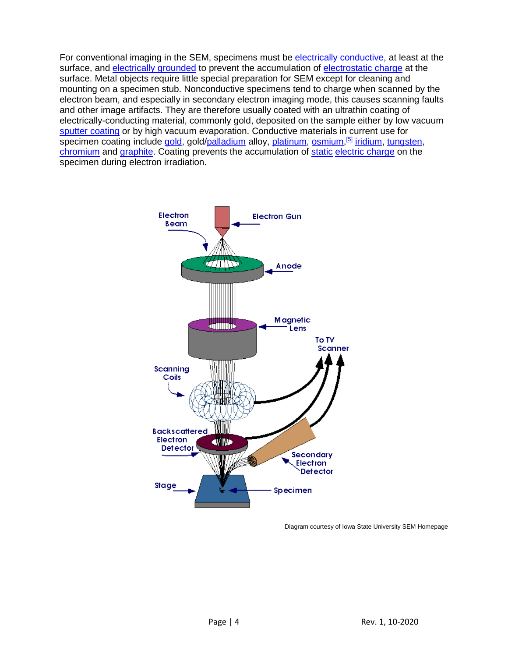For conventional imaging in the SEM, specimens must be [electrically conductive,](http://en.wikipedia.org/wiki/Electrical_conductivity) at least at the surface, and [electrically grounded](http://en.wikipedia.org/wiki/Ground_%28electricity%29) to prevent the accumulation of [electrostatic charge](http://en.wikipedia.org/wiki/Static_electricity) at the surface. Metal objects require little special preparation for SEM except for cleaning and mounting on a specimen stub. Nonconductive specimens tend to charge when scanned by the electron beam, and especially in secondary electron imaging mode, this causes scanning faults and other image artifacts. They are therefore usually coated with an ultrathin coating of electrically-conducting material, commonly gold, deposited on the sample either by low vacuum [sputter coating](http://en.wikipedia.org/wiki/Sputter_deposition) or by high vacuum evaporation. Conductive materials in current use for specimen coating include <u>gold,</u> gold/<u>palladium</u> alloy, <u>platinum, [osmium,](http://en.wikipedia.org/wiki/Osmium)<sup>[\[5\]](http://en.wikipedia.org/wiki/Scanning_Electron_Microscope#cite_note-Suzuki-4)</sup> [iridium,](http://en.wikipedia.org/wiki/Iridium) [tungsten,](http://en.wikipedia.org/wiki/Tungsten)</u> [chromium](http://en.wikipedia.org/wiki/Chromium) and [graphite.](http://en.wikipedia.org/wiki/Graphite) Coating prevents the accumulation of [static](http://en.wikipedia.org/wiki/Static) [electric charge](http://en.wikipedia.org/wiki/Electric_charge) on the specimen during electron irradiation.



Diagram courtesy of Iowa State University SEM Homepage